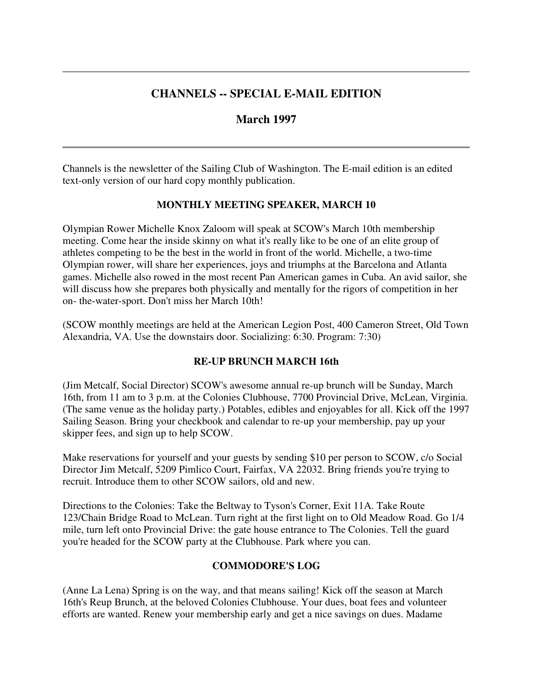# **CHANNELS -- SPECIAL E-MAIL EDITION**

# **March 1997**

Channels is the newsletter of the Sailing Club of Washington. The E-mail edition is an edited text-only version of our hard copy monthly publication.

# **MONTHLY MEETING SPEAKER, MARCH 10**

Olympian Rower Michelle Knox Zaloom will speak at SCOW's March 10th membership meeting. Come hear the inside skinny on what it's really like to be one of an elite group of athletes competing to be the best in the world in front of the world. Michelle, a two-time Olympian rower, will share her experiences, joys and triumphs at the Barcelona and Atlanta games. Michelle also rowed in the most recent Pan American games in Cuba. An avid sailor, she will discuss how she prepares both physically and mentally for the rigors of competition in her on- the-water-sport. Don't miss her March 10th!

(SCOW monthly meetings are held at the American Legion Post, 400 Cameron Street, Old Town Alexandria, VA. Use the downstairs door. Socializing: 6:30. Program: 7:30)

# **RE-UP BRUNCH MARCH 16th**

(Jim Metcalf, Social Director) SCOW's awesome annual re-up brunch will be Sunday, March 16th, from 11 am to 3 p.m. at the Colonies Clubhouse, 7700 Provincial Drive, McLean, Virginia. (The same venue as the holiday party.) Potables, edibles and enjoyables for all. Kick off the 1997 Sailing Season. Bring your checkbook and calendar to re-up your membership, pay up your skipper fees, and sign up to help SCOW.

Make reservations for yourself and your guests by sending \$10 per person to SCOW, c/o Social Director Jim Metcalf, 5209 Pimlico Court, Fairfax, VA 22032. Bring friends you're trying to recruit. Introduce them to other SCOW sailors, old and new.

Directions to the Colonies: Take the Beltway to Tyson's Corner, Exit 11A. Take Route 123/Chain Bridge Road to McLean. Turn right at the first light on to Old Meadow Road. Go 1/4 mile, turn left onto Provincial Drive: the gate house entrance to The Colonies. Tell the guard you're headed for the SCOW party at the Clubhouse. Park where you can.

# **COMMODORE'S LOG**

(Anne La Lena) Spring is on the way, and that means sailing! Kick off the season at March 16th's Reup Brunch, at the beloved Colonies Clubhouse. Your dues, boat fees and volunteer efforts are wanted. Renew your membership early and get a nice savings on dues. Madame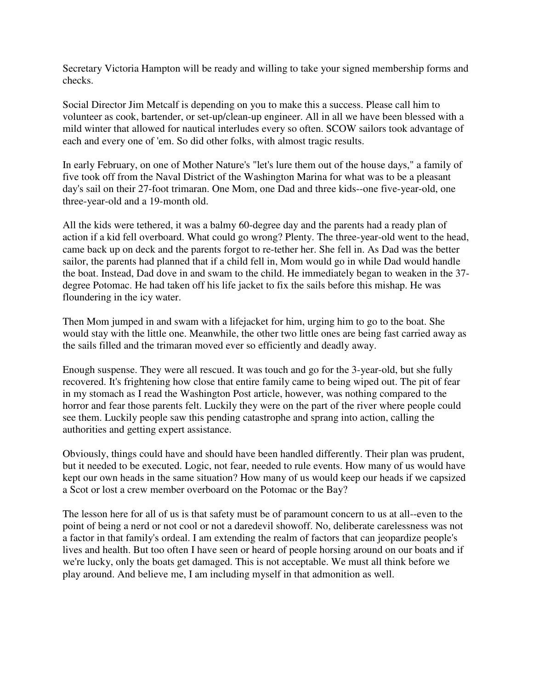Secretary Victoria Hampton will be ready and willing to take your signed membership forms and checks.

Social Director Jim Metcalf is depending on you to make this a success. Please call him to volunteer as cook, bartender, or set-up/clean-up engineer. All in all we have been blessed with a mild winter that allowed for nautical interludes every so often. SCOW sailors took advantage of each and every one of 'em. So did other folks, with almost tragic results.

In early February, on one of Mother Nature's "let's lure them out of the house days," a family of five took off from the Naval District of the Washington Marina for what was to be a pleasant day's sail on their 27-foot trimaran. One Mom, one Dad and three kids--one five-year-old, one three-year-old and a 19-month old.

All the kids were tethered, it was a balmy 60-degree day and the parents had a ready plan of action if a kid fell overboard. What could go wrong? Plenty. The three-year-old went to the head, came back up on deck and the parents forgot to re-tether her. She fell in. As Dad was the better sailor, the parents had planned that if a child fell in, Mom would go in while Dad would handle the boat. Instead, Dad dove in and swam to the child. He immediately began to weaken in the 37 degree Potomac. He had taken off his life jacket to fix the sails before this mishap. He was floundering in the icy water.

Then Mom jumped in and swam with a lifejacket for him, urging him to go to the boat. She would stay with the little one. Meanwhile, the other two little ones are being fast carried away as the sails filled and the trimaran moved ever so efficiently and deadly away.

Enough suspense. They were all rescued. It was touch and go for the 3-year-old, but she fully recovered. It's frightening how close that entire family came to being wiped out. The pit of fear in my stomach as I read the Washington Post article, however, was nothing compared to the horror and fear those parents felt. Luckily they were on the part of the river where people could see them. Luckily people saw this pending catastrophe and sprang into action, calling the authorities and getting expert assistance.

Obviously, things could have and should have been handled differently. Their plan was prudent, but it needed to be executed. Logic, not fear, needed to rule events. How many of us would have kept our own heads in the same situation? How many of us would keep our heads if we capsized a Scot or lost a crew member overboard on the Potomac or the Bay?

The lesson here for all of us is that safety must be of paramount concern to us at all--even to the point of being a nerd or not cool or not a daredevil showoff. No, deliberate carelessness was not a factor in that family's ordeal. I am extending the realm of factors that can jeopardize people's lives and health. But too often I have seen or heard of people horsing around on our boats and if we're lucky, only the boats get damaged. This is not acceptable. We must all think before we play around. And believe me, I am including myself in that admonition as well.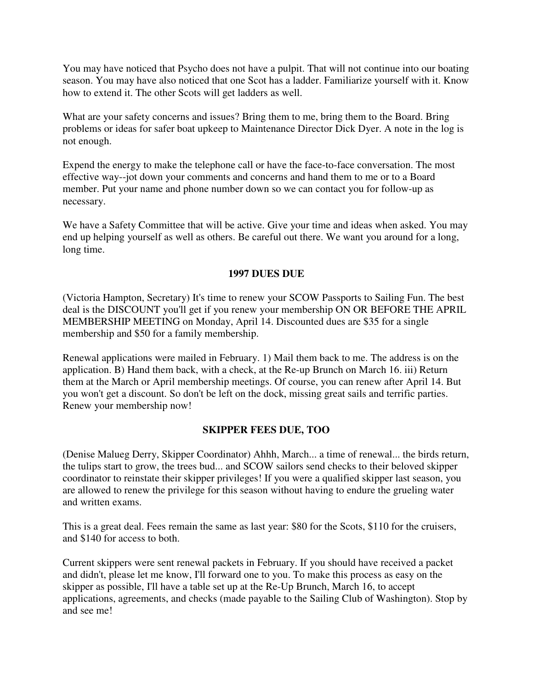You may have noticed that Psycho does not have a pulpit. That will not continue into our boating season. You may have also noticed that one Scot has a ladder. Familiarize yourself with it. Know how to extend it. The other Scots will get ladders as well.

What are your safety concerns and issues? Bring them to me, bring them to the Board. Bring problems or ideas for safer boat upkeep to Maintenance Director Dick Dyer. A note in the log is not enough.

Expend the energy to make the telephone call or have the face-to-face conversation. The most effective way--jot down your comments and concerns and hand them to me or to a Board member. Put your name and phone number down so we can contact you for follow-up as necessary.

We have a Safety Committee that will be active. Give your time and ideas when asked. You may end up helping yourself as well as others. Be careful out there. We want you around for a long, long time.

#### **1997 DUES DUE**

(Victoria Hampton, Secretary) It's time to renew your SCOW Passports to Sailing Fun. The best deal is the DISCOUNT you'll get if you renew your membership ON OR BEFORE THE APRIL MEMBERSHIP MEETING on Monday, April 14. Discounted dues are \$35 for a single membership and \$50 for a family membership.

Renewal applications were mailed in February. 1) Mail them back to me. The address is on the application. B) Hand them back, with a check, at the Re-up Brunch on March 16. iii) Return them at the March or April membership meetings. Of course, you can renew after April 14. But you won't get a discount. So don't be left on the dock, missing great sails and terrific parties. Renew your membership now!

# **SKIPPER FEES DUE, TOO**

(Denise Malueg Derry, Skipper Coordinator) Ahhh, March... a time of renewal... the birds return, the tulips start to grow, the trees bud... and SCOW sailors send checks to their beloved skipper coordinator to reinstate their skipper privileges! If you were a qualified skipper last season, you are allowed to renew the privilege for this season without having to endure the grueling water and written exams.

This is a great deal. Fees remain the same as last year: \$80 for the Scots, \$110 for the cruisers, and \$140 for access to both.

Current skippers were sent renewal packets in February. If you should have received a packet and didn't, please let me know, I'll forward one to you. To make this process as easy on the skipper as possible, I'll have a table set up at the Re-Up Brunch, March 16, to accept applications, agreements, and checks (made payable to the Sailing Club of Washington). Stop by and see me!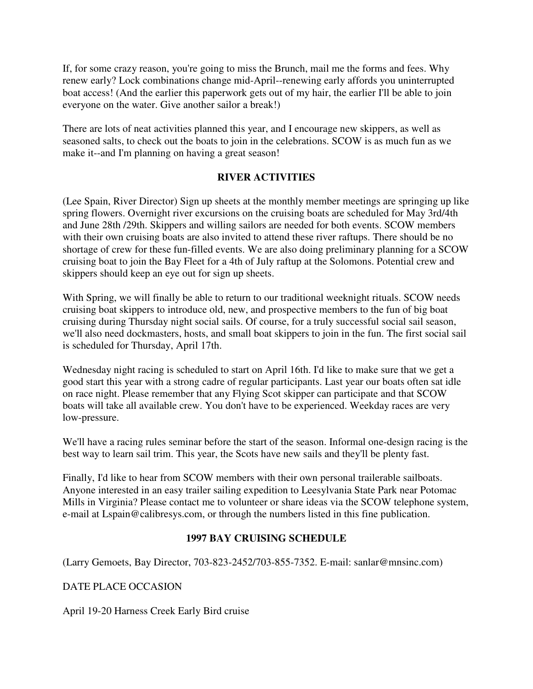If, for some crazy reason, you're going to miss the Brunch, mail me the forms and fees. Why renew early? Lock combinations change mid-April--renewing early affords you uninterrupted boat access! (And the earlier this paperwork gets out of my hair, the earlier I'll be able to join everyone on the water. Give another sailor a break!)

There are lots of neat activities planned this year, and I encourage new skippers, as well as seasoned salts, to check out the boats to join in the celebrations. SCOW is as much fun as we make it--and I'm planning on having a great season!

#### **RIVER ACTIVITIES**

(Lee Spain, River Director) Sign up sheets at the monthly member meetings are springing up like spring flowers. Overnight river excursions on the cruising boats are scheduled for May 3rd/4th and June 28th /29th. Skippers and willing sailors are needed for both events. SCOW members with their own cruising boats are also invited to attend these river raftups. There should be no shortage of crew for these fun-filled events. We are also doing preliminary planning for a SCOW cruising boat to join the Bay Fleet for a 4th of July raftup at the Solomons. Potential crew and skippers should keep an eye out for sign up sheets.

With Spring, we will finally be able to return to our traditional weeknight rituals. SCOW needs cruising boat skippers to introduce old, new, and prospective members to the fun of big boat cruising during Thursday night social sails. Of course, for a truly successful social sail season, we'll also need dockmasters, hosts, and small boat skippers to join in the fun. The first social sail is scheduled for Thursday, April 17th.

Wednesday night racing is scheduled to start on April 16th. I'd like to make sure that we get a good start this year with a strong cadre of regular participants. Last year our boats often sat idle on race night. Please remember that any Flying Scot skipper can participate and that SCOW boats will take all available crew. You don't have to be experienced. Weekday races are very low-pressure.

We'll have a racing rules seminar before the start of the season. Informal one-design racing is the best way to learn sail trim. This year, the Scots have new sails and they'll be plenty fast.

Finally, I'd like to hear from SCOW members with their own personal trailerable sailboats. Anyone interested in an easy trailer sailing expedition to Leesylvania State Park near Potomac Mills in Virginia? Please contact me to volunteer or share ideas via the SCOW telephone system, e-mail at Lspain@calibresys.com, or through the numbers listed in this fine publication.

# **1997 BAY CRUISING SCHEDULE**

(Larry Gemoets, Bay Director, 703-823-2452/703-855-7352. E-mail: sanlar@mnsinc.com)

DATE PLACE OCCASION

April 19-20 Harness Creek Early Bird cruise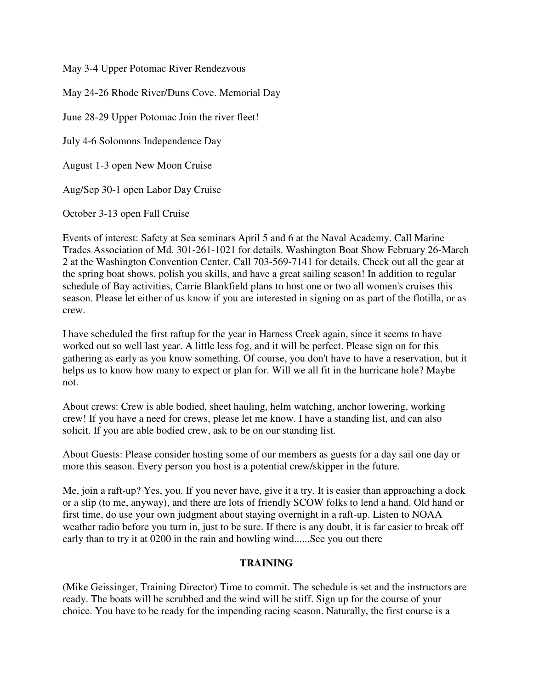May 3-4 Upper Potomac River Rendezvous

May 24-26 Rhode River/Duns Cove. Memorial Day June 28-29 Upper Potomac Join the river fleet! July 4-6 Solomons Independence Day August 1-3 open New Moon Cruise Aug/Sep 30-1 open Labor Day Cruise

October 3-13 open Fall Cruise

Events of interest: Safety at Sea seminars April 5 and 6 at the Naval Academy. Call Marine Trades Association of Md. 301-261-1021 for details. Washington Boat Show February 26-March 2 at the Washington Convention Center. Call 703-569-7141 for details. Check out all the gear at the spring boat shows, polish you skills, and have a great sailing season! In addition to regular schedule of Bay activities, Carrie Blankfield plans to host one or two all women's cruises this season. Please let either of us know if you are interested in signing on as part of the flotilla, or as crew.

I have scheduled the first raftup for the year in Harness Creek again, since it seems to have worked out so well last year. A little less fog, and it will be perfect. Please sign on for this gathering as early as you know something. Of course, you don't have to have a reservation, but it helps us to know how many to expect or plan for. Will we all fit in the hurricane hole? Maybe not.

About crews: Crew is able bodied, sheet hauling, helm watching, anchor lowering, working crew! If you have a need for crews, please let me know. I have a standing list, and can also solicit. If you are able bodied crew, ask to be on our standing list.

About Guests: Please consider hosting some of our members as guests for a day sail one day or more this season. Every person you host is a potential crew/skipper in the future.

Me, join a raft-up? Yes, you. If you never have, give it a try. It is easier than approaching a dock or a slip (to me, anyway), and there are lots of friendly SCOW folks to lend a hand. Old hand or first time, do use your own judgment about staying overnight in a raft-up. Listen to NOAA weather radio before you turn in, just to be sure. If there is any doubt, it is far easier to break off early than to try it at 0200 in the rain and howling wind......See you out there

#### **TRAINING**

(Mike Geissinger, Training Director) Time to commit. The schedule is set and the instructors are ready. The boats will be scrubbed and the wind will be stiff. Sign up for the course of your choice. You have to be ready for the impending racing season. Naturally, the first course is a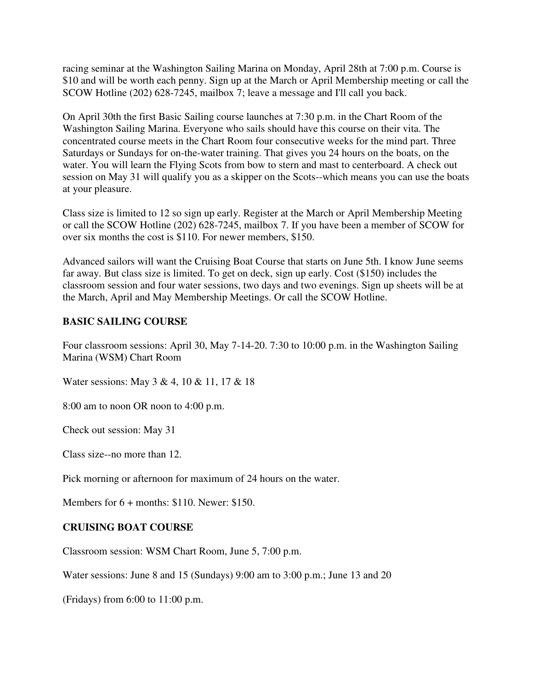racing seminar at the Washington Sailing Marina on Monday, April 28th at 7:00 p.m. Course is \$10 and will be worth each penny. Sign up at the March or April Membership meeting or call the SCOW Hotline (202) 628-7245, mailbox 7; leave a message and I'll call you back.

On April 30th the first Basic Sailing course launches at 7:30 p.m. in the Chart Room of the Washington Sailing Marina. Everyone who sails should have this course on their vita. The concentrated course meets in the Chart Room four consecutive weeks for the mind part. Three Saturdays or Sundays for on-the-water training. That gives you 24 hours on the boats, on the water. You will learn the Flying Scots from bow to stern and mast to centerboard. A check out session on May 31 will qualify you as a skipper on the Scots--which means you can use the boats at your pleasure.

Class size is limited to 12 so sign up early. Register at the March or April Membership Meeting or call the SCOW Hotline (202) 628-7245, mailbox 7. If you have been a member of SCOW for over six months the cost is \$110. For newer members, \$150.

Advanced sailors will want the Cruising Boat Course that starts on June 5th. I know June seems far away. But class size is limited. To get on deck, sign up early. Cost (\$150) includes the classroom session and four water sessions, two days and two evenings. Sign up sheets will be at the March, April and May Membership Meetings. Or call the SCOW Hotline.

# **BASIC SAILING COURSE**

Four classroom sessions: April 30, May 7-14-20. 7:30 to 10:00 p.m. in the Washington Sailing Marina (WSM) Chart Room

Water sessions: May 3 & 4, 10 & 11, 17 & 18

8:00 am to noon OR noon to 4:00 p.m.

Check out session: May 31

Class size--no more than 12.

Pick morning or afternoon for maximum of 24 hours on the water.

Members for 6 + months: \$110. Newer: \$150.

#### **CRUISING BOAT COURSE**

Classroom session: WSM Chart Room, June 5, 7:00 p.m.

Water sessions: June 8 and 15 (Sundays) 9:00 am to 3:00 p.m.; June 13 and 20

(Fridays) from 6:00 to 11:00 p.m.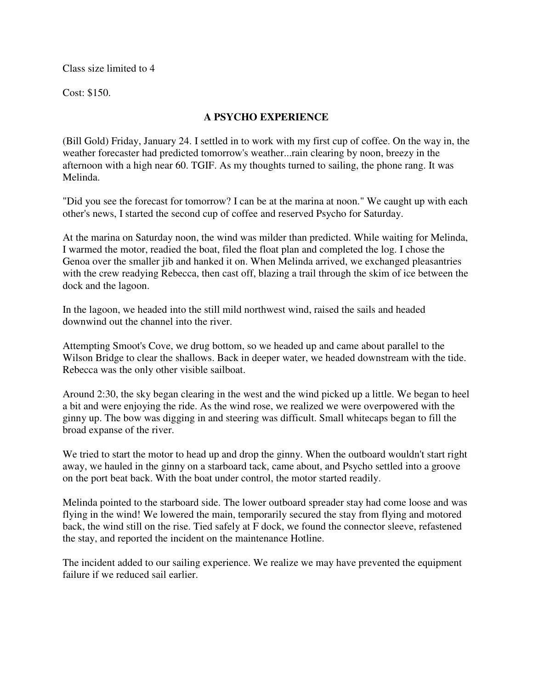Class size limited to 4

Cost: \$150.

# **A PSYCHO EXPERIENCE**

(Bill Gold) Friday, January 24. I settled in to work with my first cup of coffee. On the way in, the weather forecaster had predicted tomorrow's weather...rain clearing by noon, breezy in the afternoon with a high near 60. TGIF. As my thoughts turned to sailing, the phone rang. It was Melinda.

"Did you see the forecast for tomorrow? I can be at the marina at noon." We caught up with each other's news, I started the second cup of coffee and reserved Psycho for Saturday.

At the marina on Saturday noon, the wind was milder than predicted. While waiting for Melinda, I warmed the motor, readied the boat, filed the float plan and completed the log. I chose the Genoa over the smaller jib and hanked it on. When Melinda arrived, we exchanged pleasantries with the crew readying Rebecca, then cast off, blazing a trail through the skim of ice between the dock and the lagoon.

In the lagoon, we headed into the still mild northwest wind, raised the sails and headed downwind out the channel into the river.

Attempting Smoot's Cove, we drug bottom, so we headed up and came about parallel to the Wilson Bridge to clear the shallows. Back in deeper water, we headed downstream with the tide. Rebecca was the only other visible sailboat.

Around 2:30, the sky began clearing in the west and the wind picked up a little. We began to heel a bit and were enjoying the ride. As the wind rose, we realized we were overpowered with the ginny up. The bow was digging in and steering was difficult. Small whitecaps began to fill the broad expanse of the river.

We tried to start the motor to head up and drop the ginny. When the outboard wouldn't start right away, we hauled in the ginny on a starboard tack, came about, and Psycho settled into a groove on the port beat back. With the boat under control, the motor started readily.

Melinda pointed to the starboard side. The lower outboard spreader stay had come loose and was flying in the wind! We lowered the main, temporarily secured the stay from flying and motored back, the wind still on the rise. Tied safely at F dock, we found the connector sleeve, refastened the stay, and reported the incident on the maintenance Hotline.

The incident added to our sailing experience. We realize we may have prevented the equipment failure if we reduced sail earlier.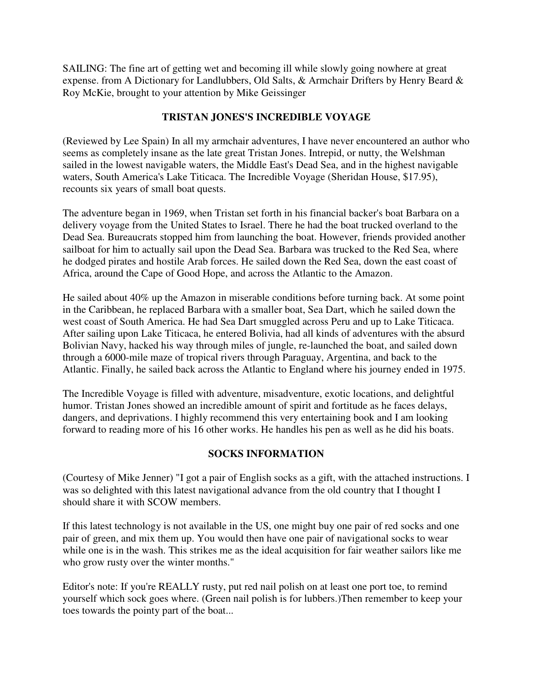SAILING: The fine art of getting wet and becoming ill while slowly going nowhere at great expense. from A Dictionary for Landlubbers, Old Salts, & Armchair Drifters by Henry Beard & Roy McKie, brought to your attention by Mike Geissinger

# **TRISTAN JONES'S INCREDIBLE VOYAGE**

(Reviewed by Lee Spain) In all my armchair adventures, I have never encountered an author who seems as completely insane as the late great Tristan Jones. Intrepid, or nutty, the Welshman sailed in the lowest navigable waters, the Middle East's Dead Sea, and in the highest navigable waters, South America's Lake Titicaca. The Incredible Voyage (Sheridan House, \$17.95), recounts six years of small boat quests.

The adventure began in 1969, when Tristan set forth in his financial backer's boat Barbara on a delivery voyage from the United States to Israel. There he had the boat trucked overland to the Dead Sea. Bureaucrats stopped him from launching the boat. However, friends provided another sailboat for him to actually sail upon the Dead Sea. Barbara was trucked to the Red Sea, where he dodged pirates and hostile Arab forces. He sailed down the Red Sea, down the east coast of Africa, around the Cape of Good Hope, and across the Atlantic to the Amazon.

He sailed about 40% up the Amazon in miserable conditions before turning back. At some point in the Caribbean, he replaced Barbara with a smaller boat, Sea Dart, which he sailed down the west coast of South America. He had Sea Dart smuggled across Peru and up to Lake Titicaca. After sailing upon Lake Titicaca, he entered Bolivia, had all kinds of adventures with the absurd Bolivian Navy, hacked his way through miles of jungle, re-launched the boat, and sailed down through a 6000-mile maze of tropical rivers through Paraguay, Argentina, and back to the Atlantic. Finally, he sailed back across the Atlantic to England where his journey ended in 1975.

The Incredible Voyage is filled with adventure, misadventure, exotic locations, and delightful humor. Tristan Jones showed an incredible amount of spirit and fortitude as he faces delays, dangers, and deprivations. I highly recommend this very entertaining book and I am looking forward to reading more of his 16 other works. He handles his pen as well as he did his boats.

# **SOCKS INFORMATION**

(Courtesy of Mike Jenner) "I got a pair of English socks as a gift, with the attached instructions. I was so delighted with this latest navigational advance from the old country that I thought I should share it with SCOW members.

If this latest technology is not available in the US, one might buy one pair of red socks and one pair of green, and mix them up. You would then have one pair of navigational socks to wear while one is in the wash. This strikes me as the ideal acquisition for fair weather sailors like me who grow rusty over the winter months."

Editor's note: If you're REALLY rusty, put red nail polish on at least one port toe, to remind yourself which sock goes where. (Green nail polish is for lubbers.)Then remember to keep your toes towards the pointy part of the boat...